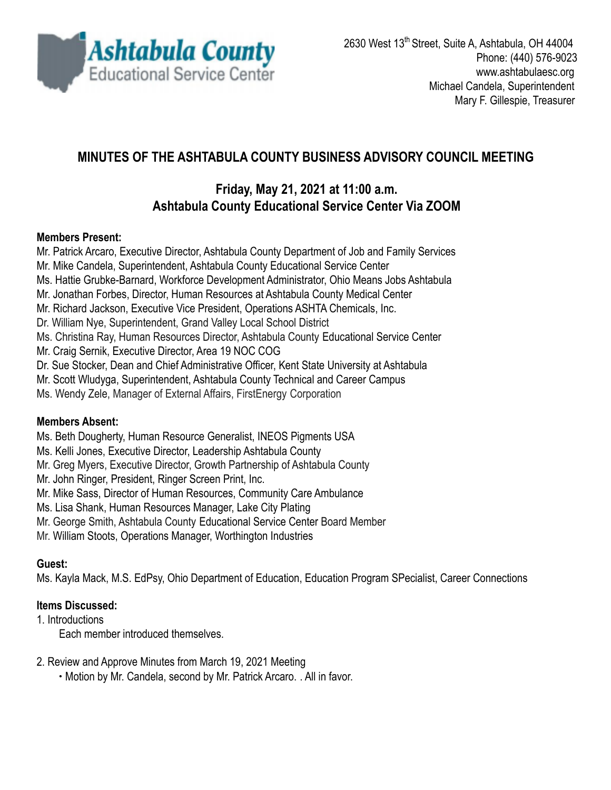

# **MINUTES OF THE ASHTABULA COUNTY BUSINESS ADVISORY COUNCIL MEETING**

# **Friday, May 21, 2021 at 11:00 a.m. Ashtabula County Educational Service Center Via ZOOM**

#### **Members Present:**

Mr. Patrick Arcaro, Executive Director, Ashtabula County Department of Job and Family Services Mr. Mike Candela, Superintendent, Ashtabula County Educational Service Center Ms. Hattie Grubke-Barnard, Workforce Development Administrator, Ohio Means Jobs Ashtabula Mr. Jonathan Forbes, Director, Human Resources at Ashtabula County Medical Center Mr. Richard Jackson, Executive Vice President, Operations ASHTA Chemicals, Inc. Dr. William Nye, Superintendent, Grand Valley Local School District Ms. Christina Ray, Human Resources Director, Ashtabula County Educational Service Center Mr. Craig Sernik, Executive Director, Area 19 NOC COG Dr. Sue Stocker, Dean and Chief Administrative Officer, Kent State University at Ashtabula Mr. Scott Wludyga, Superintendent, Ashtabula County Technical and Career Campus Ms. Wendy Zele, Manager of External Affairs, FirstEnergy Corporation

### **Members Absent:**

Ms. Beth Dougherty, Human Resource Generalist, INEOS Pigments USA

Ms. Kelli Jones, Executive Director, Leadership Ashtabula County

Mr. Greg Myers, Executive Director, Growth Partnership of Ashtabula County

Mr. John Ringer, President, Ringer Screen Print, Inc.

Mr. Mike Sass, Director of Human Resources, Community Care Ambulance

Ms. Lisa Shank, Human Resources Manager, Lake City Plating

Mr. George Smith, Ashtabula County Educational Service Center Board Member

Mr. William Stoots, Operations Manager, Worthington Industries

### **Guest:**

Ms. Kayla Mack, M.S. EdPsy, Ohio Department of Education, Education Program SPecialist, Career Connections

### **Items Discussed:**

1. Introductions

Each member introduced themselves.

2. Review and Approve Minutes from March 19, 2021 Meeting

∙ Motion by Mr. Candela, second by Mr. Patrick Arcaro. . All in favor.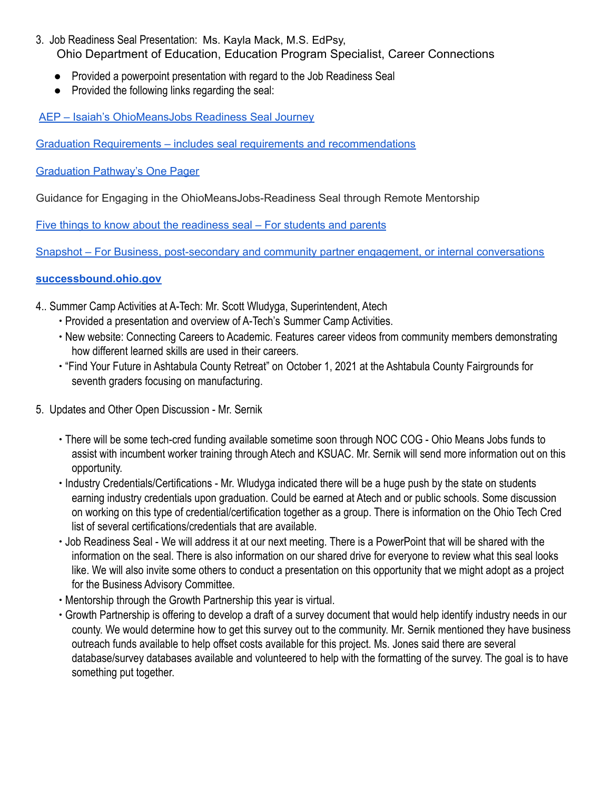- 3. Job Readiness Seal Presentation: Ms. Kayla Mack, M.S. EdPsy, Ohio Department of Education, Education Program Specialist, Career Connections
	- Provided a powerpoint presentation with regard to the Job Readiness Seal
	- Provided the following links regarding the seal:

AEP – Isaiah's [OhioMeansJobs](https://youtu.be/b7E5_jb7avc) Readiness Seal Journey

Graduation Requirements – includes seal requirements and [recommendations](http://education.ohio.gov/getattachment/Topics/Ohio-s-Graduation-Requirements/Ohio-s-Graduation-Requirements_Long-term-Requirements-2023-and-Beyond.pdf.aspx?lang=en-US)

[Graduation](http://education.ohio.gov/getattachment/Topics/Ohio-s-Graduation-Requirements/Sections/Classes-of-2023-and-Beyond-Graduation-Requirements/GradReq2023.pdf.aspx?lang=en-US) Pathway's One Pager

Guidance for Engaging in the OhioMeansJobs-Readiness Seal through Remote Mentorship

Five things to know about the [readiness](http://education.ohio.gov/getattachment/Topics/New-Skills-for-Youth/SuccessBound/OhioMeansJobs-Readiness-Seal/FiveThingsYouShouldKnowAbouttheOMJReadiSeal.pdf.aspx?lang=en-US) seal – For students and parents

Snapshot – For Business, [post-secondary](http://education.ohio.gov/getattachment/Topics/New-Skills-for-Youth/SuccessBound/OhioMeansJobs-Readiness-Seal/OhioMeansJobs-Post-Secondary-Supporter.pdf.aspx?lang=en-US) and community partner engagement, or internal conversations

#### **[successbound.ohio.gov](http://successbound.ohio.gov/Ohio-Means-Jobs-Readiness-Seal)**

- 4.. Summer Camp Activities at A-Tech: Mr. Scott Wludyga, Superintendent, Atech
	- ∙ Provided a presentation and overview of A-Tech's Summer Camp Activities.
	- ∙ New website: Connecting Careers to Academic. Features career videos from community members demonstrating how different learned skills are used in their careers.
	- ∙ "Find Your Future in Ashtabula County Retreat" on October 1, 2021 at the Ashtabula County Fairgrounds for seventh graders focusing on manufacturing.
- 5. Updates and Other Open Discussion Mr. Sernik
	- ∙ There will be some tech-cred funding available sometime soon through NOC COG Ohio Means Jobs funds to assist with incumbent worker training through Atech and KSUAC. Mr. Sernik will send more information out on this opportunity.
	- ∙ Industry Credentials/Certifications Mr. Wludyga indicated there will be a huge push by the state on students earning industry credentials upon graduation. Could be earned at Atech and or public schools. Some discussion on working on this type of credential/certification together as a group. There is information on the Ohio Tech Cred list of several certifications/credentials that are available.
	- ∙ Job Readiness Seal We will address it at our next meeting. There is a PowerPoint that will be shared with the information on the seal. There is also information on our shared drive for everyone to review what this seal looks like. We will also invite some others to conduct a presentation on this opportunity that we might adopt as a project for the Business Advisory Committee.
	- ∙ Mentorship through the Growth Partnership this year is virtual.
	- ∙ Growth Partnership is offering to develop a draft of a survey document that would help identify industry needs in our county. We would determine how to get this survey out to the community. Mr. Sernik mentioned they have business outreach funds available to help offset costs available for this project. Ms. Jones said there are several database/survey databases available and volunteered to help with the formatting of the survey. The goal is to have something put together.